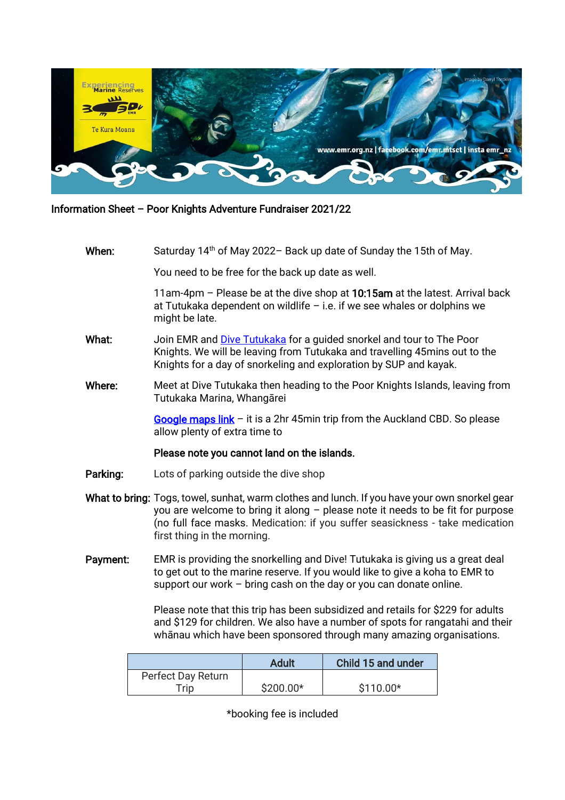

### Information Sheet – Poor Knights Adventure Fundraiser 2021/22

# **When:** Saturday 14<sup>th</sup> of May 2022– Back up date of Sunday the 15th of May.

You need to be free for the back up date as well.

11am-4pm – Please be at the dive shop at 10:15am at the latest. Arrival back at Tutukaka dependent on wildlife – i.e. if we see whales or dolphins we might be late.

- What: Join EMR and [Dive Tutukaka](https://www.diving.co.nz/) for a guided snorkel and tour to The Poor Knights. We will be leaving from Tutukaka and travelling 45mins out to the Knights for a day of snorkeling and exploration by SUP and kayak.
- Where: Meet at Dive Tutukaka then heading to the Poor Knights Islands, leaving from Tutukaka Marina, Whangārei

[Google maps link](https://g.page/DiveTutukaka?share)  $-$  it is a 2hr 45min trip from the Auckland CBD. So please allow plenty of extra time to

#### Please note you cannot land on the islands.

- Parking: Lots of parking outside the dive shop
- What to bring: Togs, towel, sunhat, warm clothes and lunch. If you have your own snorkel gear you are welcome to bring it along – please note it needs to be fit for purpose (no full face masks. Medication: if you suffer seasickness - take medication first thing in the morning.
- Payment: EMR is providing the snorkelling and Dive! Tutukaka is giving us a great deal to get out to the marine reserve. If you would like to give a koha to EMR to support our work – bring cash on the day or you can donate online.

Please note that this trip has been subsidized and retails for \$229 for adults and \$129 for children. We also have a number of spots for rangatahi and their whānau which have been sponsored through many amazing organisations.

|                    | Adult      | Child 15 and under |
|--------------------|------------|--------------------|
| Perfect Day Return |            |                    |
| Trip <sup>-</sup>  | $$200.00*$ | $$110.00*$         |

\*booking fee is included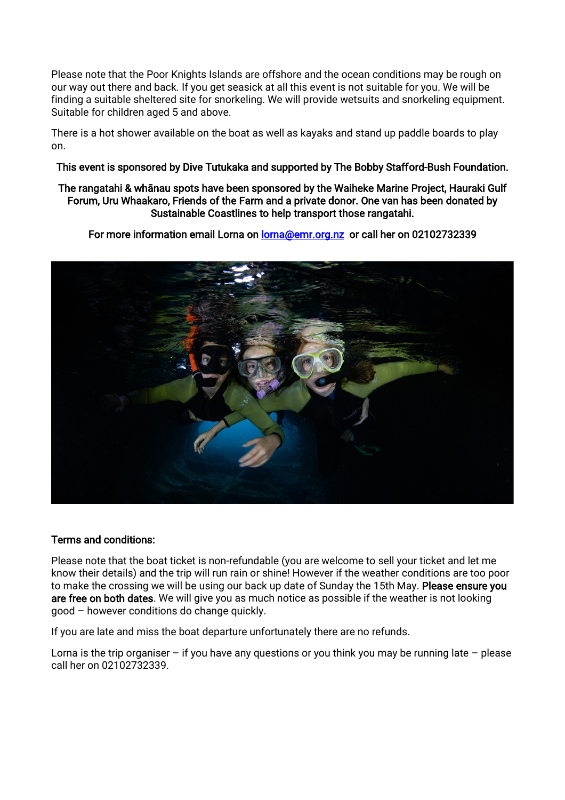Please note that the Poor Knights Islands are offshore and the ocean conditions may be rough on our way out there and back. If you get seasick at all this event is not suitable for you. We will be finding a suitable sheltered site for snorkeling. We will provide wetsuits and snorkeling equipment. Suitable for children aged 5 and above.

There is a hot shower available on the boat as well as kayaks and stand up paddle boards to play on.

## This event is sponsored by Dive Tutukaka and supported by The Bobby Stafford-Bush Foundation.

### The rangatahi & whānau spots have been sponsored by the Waiheke Marine Project, Hauraki Gulf Forum, Uru Whaakaro, Friends of the Farm and a private donor. One van has been donated by Sustainable Coastlines to help transport those rangatahi.

For more information email Lorna on **lorna@emr.org.nz** or call her on 02102732339



### Terms and conditions:

Please note that the boat ticket is non-refundable (you are welcome to sell your ticket and let me know their details) and the trip will run rain or shine! However if the weather conditions are too poor to make the crossing we will be using our back up date of Sunday the 15th May. Please ensure you are free on both dates. We will give you as much notice as possible if the weather is not looking good – however conditions do change quickly.

If you are late and miss the boat departure unfortunately there are no refunds.

Lorna is the trip organiser – if you have any questions or you think you may be running late – please call her on 02102732339.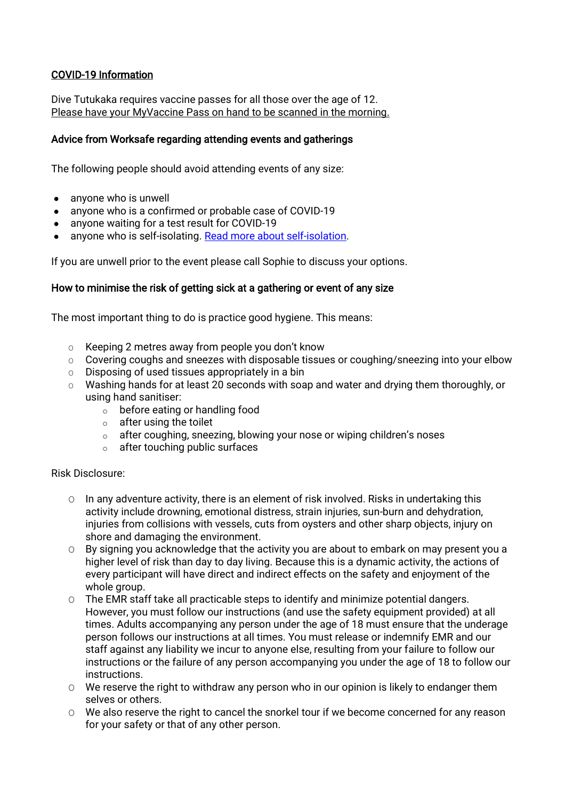# COVID-19 Information

Dive Tutukaka requires vaccine passes for all those over the age of 12. Please have your MyVaccine Pass on hand to be scanned in the morning.

# Advice from Worksafe regarding attending events and gatherings

The following people should avoid attending events of any size:

- anyone who is unwell
- anyone who is a confirmed or probable case of COVID-19
- anyone waiting for a test result for COVID-19
- anyone who is self-isolating. [Read more about self-isolation.](https://www.health.govt.nz/our-work/diseases-and-conditions/covid-19-novel-coronavirus/covid-19-novel-coronavirus-health-advice-general-public/covid-19-self-isolation-close-contacts)

If you are unwell prior to the event please call Sophie to discuss your options.

## How to minimise the risk of getting sick at a gathering or event of any size

The most important thing to do is practice good hygiene. This means:

- O Keeping 2 metres away from people you don't know
- O Covering coughs and sneezes with disposable tissues or coughing/sneezing into your elbow
- $\circ$  Disposing of used tissues appropriately in a bin
- O Washing hands for at least 20 seconds with soap and water and drying them thoroughly, or using hand sanitiser:
	- o before eating or handling food
	- o after using the toilet
	- o after coughing, sneezing, blowing your nose or wiping children's noses
	- o after touching public surfaces

#### Risk Disclosure:

- O In any adventure activity, there is an element of risk involved. Risks in undertaking this activity include drowning, emotional distress, strain injuries, sun-burn and dehydration, injuries from collisions with vessels, cuts from oysters and other sharp objects, injury on shore and damaging the environment.
- O By signing you acknowledge that the activity you are about to embark on may present you a higher level of risk than day to day living. Because this is a dynamic activity, the actions of every participant will have direct and indirect effects on the safety and enjoyment of the whole group.
- O The EMR staff take all practicable steps to identify and minimize potential dangers. However, you must follow our instructions (and use the safety equipment provided) at all times. Adults accompanying any person under the age of 18 must ensure that the underage person follows our instructions at all times. You must release or indemnify EMR and our staff against any liability we incur to anyone else, resulting from your failure to follow our instructions or the failure of any person accompanying you under the age of 18 to follow our instructions.
- O We reserve the right to withdraw any person who in our opinion is likely to endanger them selves or others.
- O We also reserve the right to cancel the snorkel tour if we become concerned for any reason for your safety or that of any other person.